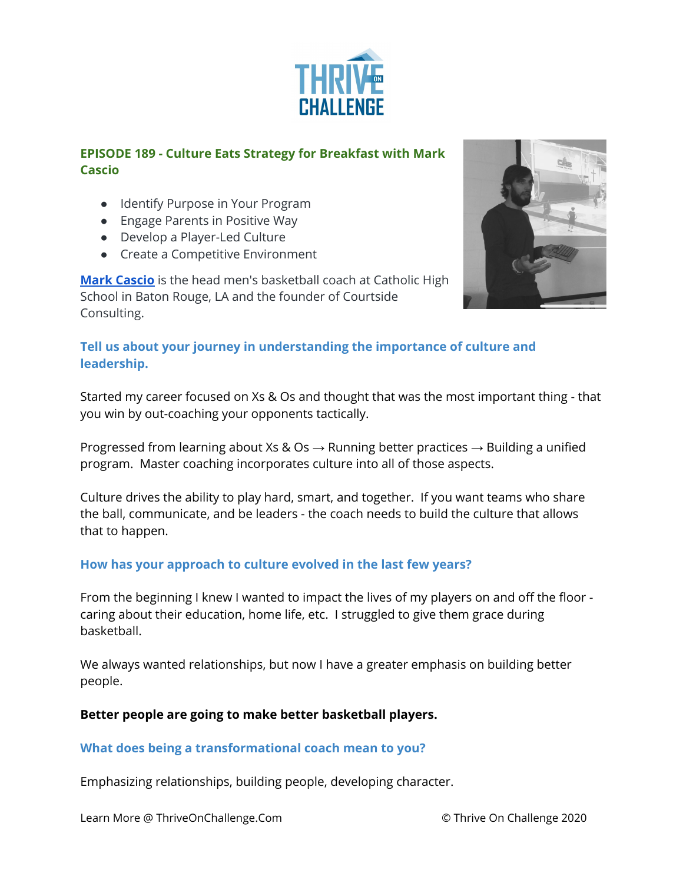

# **EPISODE 189 - Culture Eats Strategy for Breakfast with Mark Cascio**

- Identify Purpose in Your Program
- Engage Parents in Positive Way
- Develop a Player-Led Culture
- Create a Competitive Environment

**Mark [Cascio](https://www.courtside-consulting.com/about)** is the head men's basketball coach at Catholic High School in Baton Rouge, LA and the founder of Courtside Consulting.



## **Tell us about your journey in understanding the importance of culture and leadership.**

Started my career focused on Xs & Os and thought that was the most important thing - that you win by out-coaching your opponents tactically.

Progressed from learning about Xs & Os  $\rightarrow$  Running better practices  $\rightarrow$  Building a unified program. Master coaching incorporates culture into all of those aspects.

Culture drives the ability to play hard, smart, and together. If you want teams who share the ball, communicate, and be leaders - the coach needs to build the culture that allows that to happen.

## **How has your approach to culture evolved in the last few years?**

From the beginning I knew I wanted to impact the lives of my players on and off the floor caring about their education, home life, etc. I struggled to give them grace during basketball.

We always wanted relationships, but now I have a greater emphasis on building better people.

### **Better people are going to make better basketball players.**

### **What does being a transformational coach mean to you?**

Emphasizing relationships, building people, developing character.

Learn More @ ThriveOnChallenge.Com © Thrive On Challenge 2020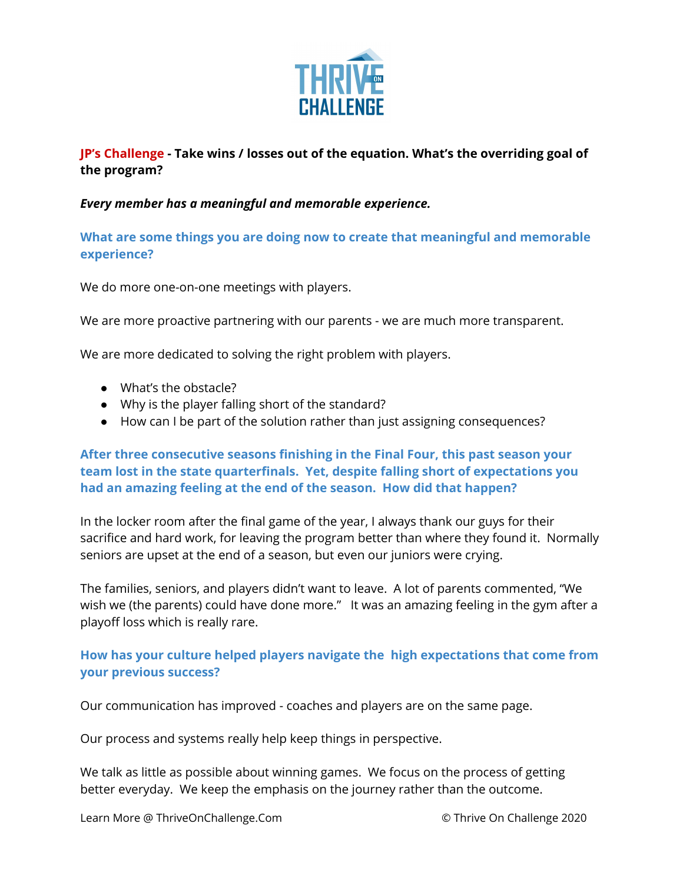

**JP's Challenge - Take wins / losses out of the equation. What's the overriding goal of the program?**

#### *Every member has a meaningful and memorable experience.*

**What are some things you are doing now to create that meaningful and memorable experience?**

We do more one-on-one meetings with players.

We are more proactive partnering with our parents - we are much more transparent.

We are more dedicated to solving the right problem with players.

- What's the obstacle?
- Why is the player falling short of the standard?
- How can I be part of the solution rather than just assigning consequences?

**After three consecutive seasons finishing in the Final Four, this past season your team lost in the state quarterfinals. Yet, despite falling short of expectations you had an amazing feeling at the end of the season. How did that happen?**

In the locker room after the final game of the year, I always thank our guys for their sacrifice and hard work, for leaving the program better than where they found it. Normally seniors are upset at the end of a season, but even our juniors were crying.

The families, seniors, and players didn't want to leave. A lot of parents commented, "We wish we (the parents) could have done more." It was an amazing feeling in the gym after a playoff loss which is really rare.

### **How has your culture helped players navigate the high expectations that come from your previous success?**

Our communication has improved - coaches and players are on the same page.

Our process and systems really help keep things in perspective.

We talk as little as possible about winning games. We focus on the process of getting better everyday. We keep the emphasis on the journey rather than the outcome.

Learn More @ ThriveOnChallenge.Com © Thrive On Challenge 2020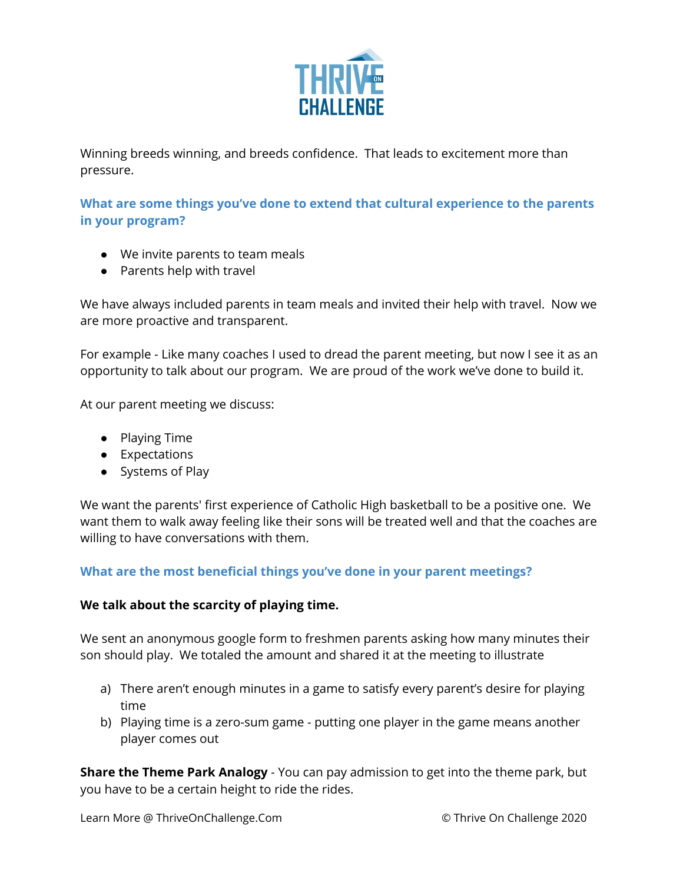

Winning breeds winning, and breeds confidence. That leads to excitement more than pressure.

**What are some things you've done to extend that cultural experience to the parents in your program?**

- We invite parents to team meals
- Parents help with travel

We have always included parents in team meals and invited their help with travel. Now we are more proactive and transparent.

For example - Like many coaches I used to dread the parent meeting, but now I see it as an opportunity to talk about our program. We are proud of the work we've done to build it.

At our parent meeting we discuss:

- Playing Time
- Expectations
- Systems of Play

We want the parents' first experience of Catholic High basketball to be a positive one. We want them to walk away feeling like their sons will be treated well and that the coaches are willing to have conversations with them.

### **What are the most beneficial things you've done in your parent meetings?**

### **We talk about the scarcity of playing time.**

We sent an anonymous google form to freshmen parents asking how many minutes their son should play. We totaled the amount and shared it at the meeting to illustrate

- a) There aren't enough minutes in a game to satisfy every parent's desire for playing time
- b) Playing time is a zero-sum game putting one player in the game means another player comes out

**Share the Theme Park Analogy** - You can pay admission to get into the theme park, but you have to be a certain height to ride the rides.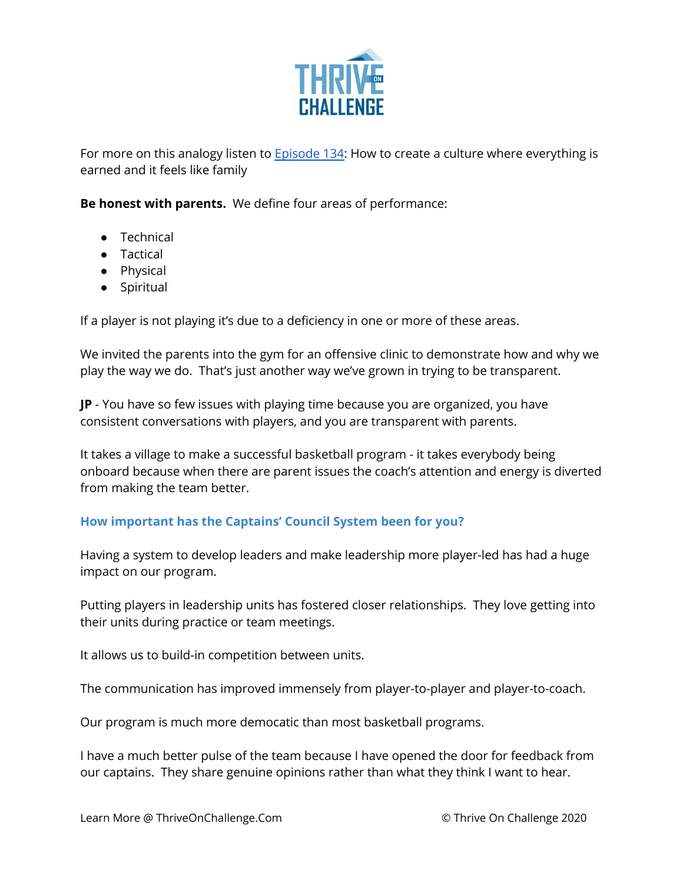

For more on this analogy listen to **[Episode](https://podcasts.apple.com/ng/podcast/134-how-to-create-culture-where-everything-is-earned/id1286560192?i=1000471278407) 134:** How to create a culture where everything is earned and it feels like family

**Be honest with parents.** We define four areas of performance:

- Technical
- Tactical
- Physical
- Spiritual

If a player is not playing it's due to a deficiency in one or more of these areas.

We invited the parents into the gym for an offensive clinic to demonstrate how and why we play the way we do. That's just another way we've grown in trying to be transparent.

**JP** - You have so few issues with playing time because you are organized, you have consistent conversations with players, and you are transparent with parents.

It takes a village to make a successful basketball program - it takes everybody being onboard because when there are parent issues the coach's attention and energy is diverted from making the team better.

## **How important has the Captains' Council System been for you?**

Having a system to develop leaders and make leadership more player-led has had a huge impact on our program.

Putting players in leadership units has fostered closer relationships. They love getting into their units during practice or team meetings.

It allows us to build-in competition between units.

The communication has improved immensely from player-to-player and player-to-coach.

Our program is much more democatic than most basketball programs.

I have a much better pulse of the team because I have opened the door for feedback from our captains. They share genuine opinions rather than what they think I want to hear.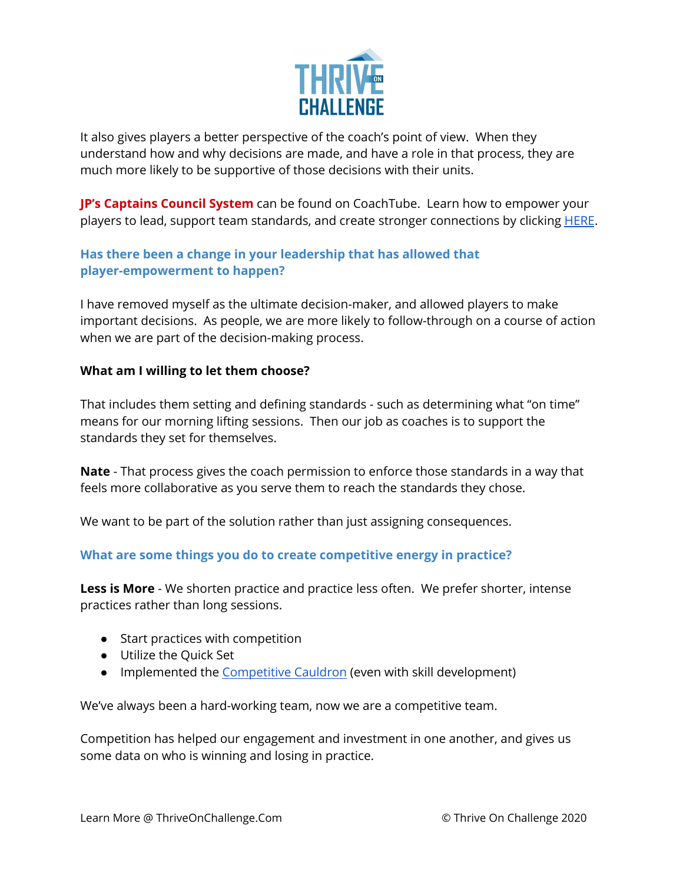

It also gives players a better perspective of the coach's point of view. When they understand how and why decisions are made, and have a role in that process, they are much more likely to be supportive of those decisions with their units.

**JP's Captains Council System** can be found on CoachTube. Learn how to empower your players to lead, support team standards, and create stronger connections by clicking **[HERE](https://coachtube.com/course/coach-development/captains-council-system/12447351)**.

## **Has there been a change in your leadership that has allowed that player-empowerment to happen?**

I have removed myself as the ultimate decision-maker, and allowed players to make important decisions. As people, we are more likely to follow-through on a course of action when we are part of the decision-making process.

### **What am I willing to let them choose?**

That includes them setting and defining standards - such as determining what "on time" means for our morning lifting sessions. Then our job as coaches is to support the standards they set for themselves.

**Nate** - That process gives the coach permission to enforce those standards in a way that feels more collaborative as you serve them to reach the standards they chose.

We want to be part of the solution rather than just assigning consequences.

## **What are some things you do to create competitive energy in practice?**

**Less is More** - We shorten practice and practice less often. We prefer shorter, intense practices rather than long sessions.

- Start practices with competition
- Utilize the Quick Set
- Implemented the [Competitive](https://coachtube.com/course/coach-development/the-competitive-cauldron-training-and-spreadsheet/12020818) Cauldron (even with skill development)

We've always been a hard-working team, now we are a competitive team.

Competition has helped our engagement and investment in one another, and gives us some data on who is winning and losing in practice.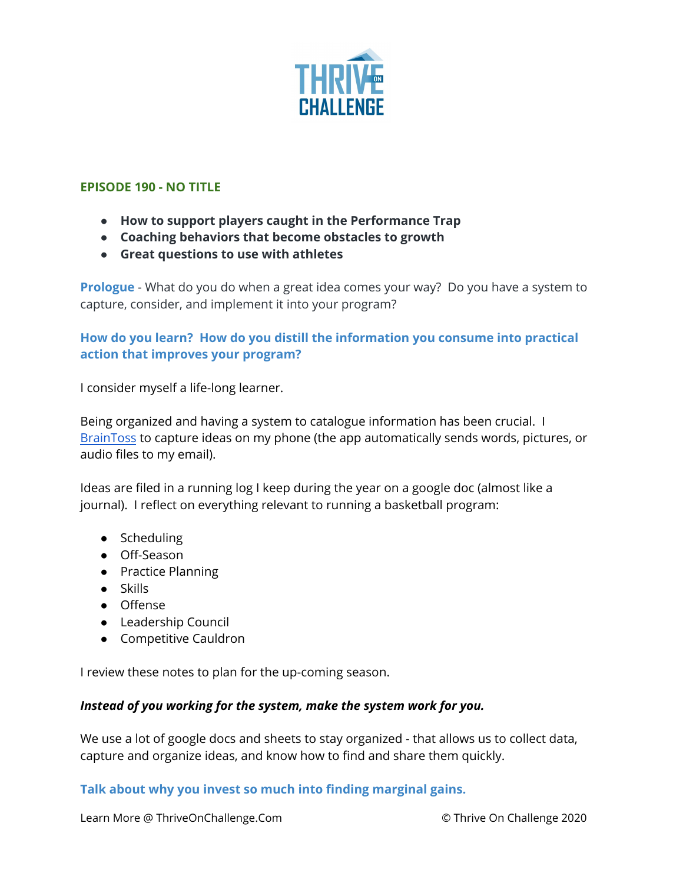

#### **EPISODE 190 - NO TITLE**

- **● How to support players caught in the Performance Trap**
- **● Coaching behaviors that become obstacles to growth**
- **● Great questions to use with athletes**

**Prologue** - What do you do when a great idea comes your way? Do you have a system to capture, consider, and implement it into your program?

## **How do you learn? How do you distill the information you consume into practical action that improves your program?**

I consider myself a life-long learner.

Being organized and having a system to catalogue information has been crucial. I [BrainToss](https://braintoss.com/) to capture ideas on my phone (the app automatically sends words, pictures, or audio files to my email).

Ideas are filed in a running log I keep during the year on a google doc (almost like a journal). I reflect on everything relevant to running a basketball program:

- Scheduling
- Off-Season
- Practice Planning
- Skills
- Offense
- Leadership Council
- Competitive Cauldron

I review these notes to plan for the up-coming season.

### *Instead of you working for the system, make the system work for you.*

We use a lot of google docs and sheets to stay organized - that allows us to collect data, capture and organize ideas, and know how to find and share them quickly.

### **Talk about why you invest so much into finding marginal gains.**

Learn More @ ThriveOnChallenge.Com © Thrive On Challenge 2020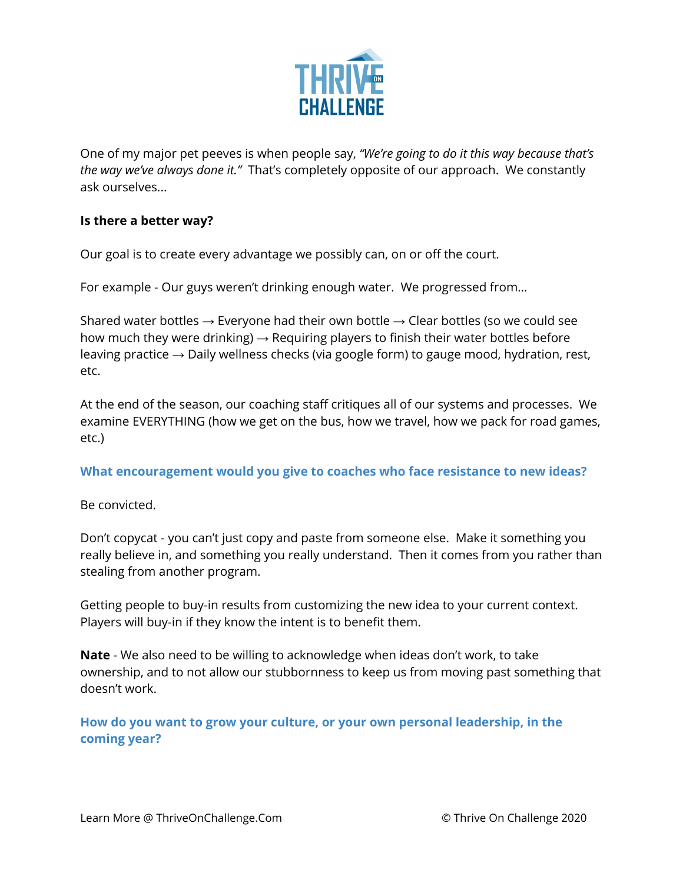

One of my major pet peeves is when people say, *"We're going to do it this way because that's the way we've always done it."* That's completely opposite of our approach. We constantly ask ourselves...

### **Is there a better way?**

Our goal is to create every advantage we possibly can, on or off the court.

For example - Our guys weren't drinking enough water. We progressed from…

Shared water bottles  $\rightarrow$  Everyone had their own bottle  $\rightarrow$  Clear bottles (so we could see how much they were drinking)  $\rightarrow$  Requiring players to finish their water bottles before leaving practice  $\rightarrow$  Daily wellness checks (via google form) to gauge mood, hydration, rest, etc.

At the end of the season, our coaching staff critiques all of our systems and processes. We examine EVERYTHING (how we get on the bus, how we travel, how we pack for road games, etc.)

**What encouragement would you give to coaches who face resistance to new ideas?**

Be convicted.

Don't copycat - you can't just copy and paste from someone else. Make it something you really believe in, and something you really understand. Then it comes from you rather than stealing from another program.

Getting people to buy-in results from customizing the new idea to your current context. Players will buy-in if they know the intent is to benefit them.

**Nate** - We also need to be willing to acknowledge when ideas don't work, to take ownership, and to not allow our stubbornness to keep us from moving past something that doesn't work.

**How do you want to grow your culture, or your own personal leadership, in the coming year?**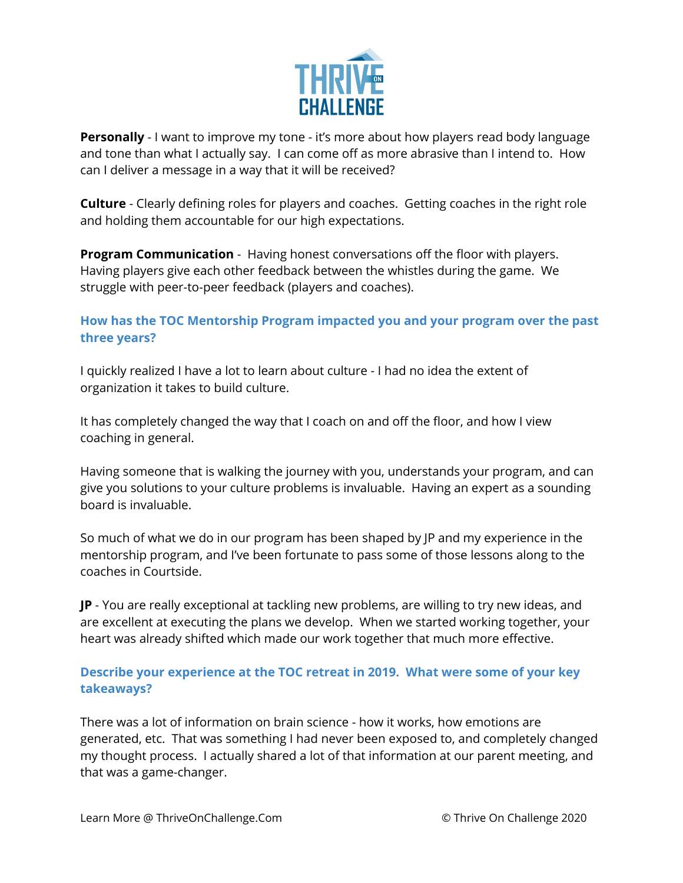

**Personally** - I want to improve my tone - it's more about how players read body language and tone than what I actually say. I can come off as more abrasive than I intend to. How can I deliver a message in a way that it will be received?

**Culture** - Clearly defining roles for players and coaches. Getting coaches in the right role and holding them accountable for our high expectations.

**Program Communication** - Having honest conversations off the floor with players. Having players give each other feedback between the whistles during the game. We struggle with peer-to-peer feedback (players and coaches).

## **How has the TOC Mentorship Program impacted you and your program over the past three years?**

I quickly realized I have a lot to learn about culture - I had no idea the extent of organization it takes to build culture.

It has completely changed the way that I coach on and off the floor, and how I view coaching in general.

Having someone that is walking the journey with you, understands your program, and can give you solutions to your culture problems is invaluable. Having an expert as a sounding board is invaluable.

So much of what we do in our program has been shaped by JP and my experience in the mentorship program, and I've been fortunate to pass some of those lessons along to the coaches in Courtside.

**JP** - You are really exceptional at tackling new problems, are willing to try new ideas, and are excellent at executing the plans we develop. When we started working together, your heart was already shifted which made our work together that much more effective.

# **Describe your experience at the TOC retreat in 2019. What were some of your key takeaways?**

There was a lot of information on brain science - how it works, how emotions are generated, etc. That was something I had never been exposed to, and completely changed my thought process. I actually shared a lot of that information at our parent meeting, and that was a game-changer.